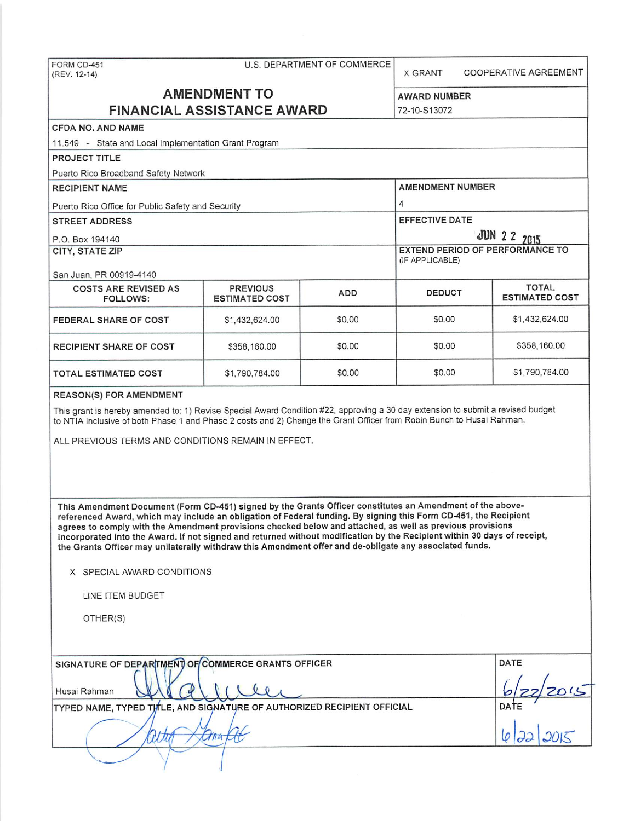| U.S. DEPARTMENT OF COMMERCE<br>FORM CD-451<br>(REV. 12-14)                                                                                                                                                                                                                                                                                                                                                                                                                                                                                                                                                                                      |                                          |                                                    | <b>X GRANT</b>          | COOPERATIVE AGREEMENT                 |
|-------------------------------------------------------------------------------------------------------------------------------------------------------------------------------------------------------------------------------------------------------------------------------------------------------------------------------------------------------------------------------------------------------------------------------------------------------------------------------------------------------------------------------------------------------------------------------------------------------------------------------------------------|------------------------------------------|----------------------------------------------------|-------------------------|---------------------------------------|
|                                                                                                                                                                                                                                                                                                                                                                                                                                                                                                                                                                                                                                                 | <b>AMENDMENT TO</b>                      |                                                    | <b>AWARD NUMBER</b>     |                                       |
|                                                                                                                                                                                                                                                                                                                                                                                                                                                                                                                                                                                                                                                 | <b>FINANCIAL ASSISTANCE AWARD</b>        |                                                    | 72-10-S13072            |                                       |
| <b>CFDA NO, AND NAME</b>                                                                                                                                                                                                                                                                                                                                                                                                                                                                                                                                                                                                                        |                                          |                                                    |                         |                                       |
| 11.549 - State and Local Implementation Grant Program                                                                                                                                                                                                                                                                                                                                                                                                                                                                                                                                                                                           |                                          |                                                    |                         |                                       |
| PROJECT TITLE                                                                                                                                                                                                                                                                                                                                                                                                                                                                                                                                                                                                                                   |                                          |                                                    |                         |                                       |
| Puerto Rico Broadband Safety Network                                                                                                                                                                                                                                                                                                                                                                                                                                                                                                                                                                                                            |                                          |                                                    |                         |                                       |
| <b>RECIPIENT NAME</b>                                                                                                                                                                                                                                                                                                                                                                                                                                                                                                                                                                                                                           |                                          |                                                    | <b>AMENDMENT NUMBER</b> |                                       |
| Puerto Rico Office for Public Safety and Security                                                                                                                                                                                                                                                                                                                                                                                                                                                                                                                                                                                               |                                          |                                                    | 4                       |                                       |
| <b>STREET ADDRESS</b>                                                                                                                                                                                                                                                                                                                                                                                                                                                                                                                                                                                                                           |                                          | <b>EFFECTIVE DATE</b>                              |                         |                                       |
| P.O. Box 194140                                                                                                                                                                                                                                                                                                                                                                                                                                                                                                                                                                                                                                 |                                          | JUN 2 2 7015                                       |                         |                                       |
| <b>CITY, STATE ZIP</b>                                                                                                                                                                                                                                                                                                                                                                                                                                                                                                                                                                                                                          |                                          | EXTEND PERIOD OF PERFORMANCE TO<br>(IF APPLICABLE) |                         |                                       |
| San Juan, PR 00919-4140                                                                                                                                                                                                                                                                                                                                                                                                                                                                                                                                                                                                                         |                                          |                                                    |                         |                                       |
| <b>COSTS ARE REVISED AS</b><br><b>FOLLOWS:</b>                                                                                                                                                                                                                                                                                                                                                                                                                                                                                                                                                                                                  | <b>PREVIOUS</b><br><b>ESTIMATED COST</b> | ADD                                                | DEDUCT                  | <b>TOTAL</b><br><b>ESTIMATED COST</b> |
| FEDERAL SHARE OF COST                                                                                                                                                                                                                                                                                                                                                                                                                                                                                                                                                                                                                           | \$1,432,624.00                           | \$0.00                                             | \$0.00                  | \$1,432,624.00                        |
| <b>RECIPIENT SHARE OF COST</b>                                                                                                                                                                                                                                                                                                                                                                                                                                                                                                                                                                                                                  | \$358,160.00                             | \$0.00                                             | \$0.00                  | \$358,160.00                          |
| TOTAL ESTIMATED COST                                                                                                                                                                                                                                                                                                                                                                                                                                                                                                                                                                                                                            | \$1,790,784.00                           | \$0.00                                             | \$0.00                  | \$1,790,784.00                        |
| ALL PREVIOUS TERMS AND CONDITIONS REMAIN IN EFFECT.                                                                                                                                                                                                                                                                                                                                                                                                                                                                                                                                                                                             |                                          |                                                    |                         |                                       |
| This Amendment Document (Form CD-451) signed by the Grants Officer constitutes an Amendment of the above-<br>referenced Award, which may include an obligation of Federal funding. By signing this Form CD-451, the Recipient<br>agrees to comply with the Amendment provisions checked below and attached, as well as previous provisions<br>incorporated into the Award. If not signed and returned without modification by the Recipient within 30 days of receipt,<br>the Grants Officer may unilaterally withdraw this Amendment offer and de-obligate any associated funds.<br>X SPECIAL AWARD CONDITIONS<br>LINE ITEM BUDGET<br>OTHER(S) |                                          |                                                    |                         |                                       |
| SIGNATURE OF DEPARTMENT OF COMMERCE GRANTS OFFICER<br>Husai Rahman<br>TYPED NAME, TYPED TITLE, AND SIGNATURE OF AUTHORIZED RECIPIENT OFFICIAL                                                                                                                                                                                                                                                                                                                                                                                                                                                                                                   | DATE<br>$\frac{122}{20!}$<br>DATE        |                                                    |                         |                                       |
|                                                                                                                                                                                                                                                                                                                                                                                                                                                                                                                                                                                                                                                 | mo                                       |                                                    |                         |                                       |
|                                                                                                                                                                                                                                                                                                                                                                                                                                                                                                                                                                                                                                                 |                                          |                                                    |                         |                                       |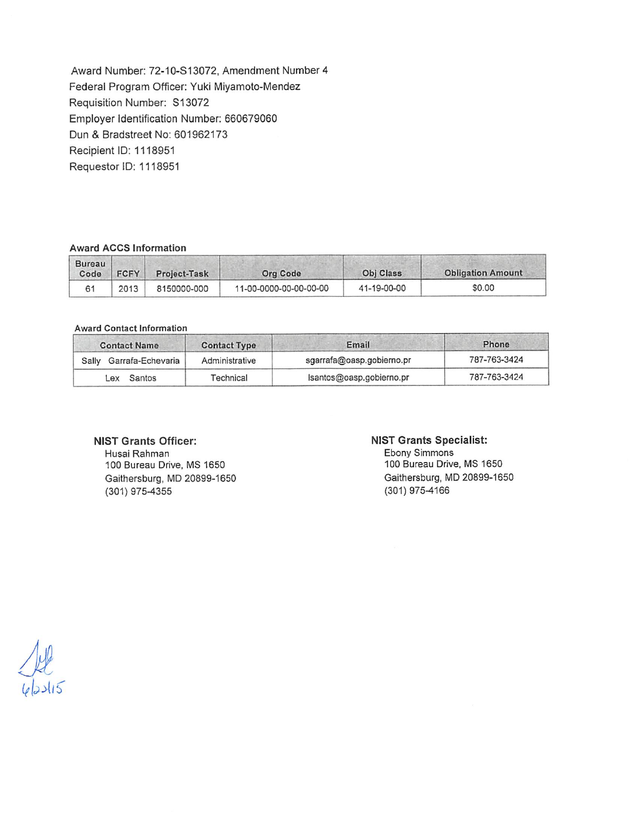Award Number: 72-10-S 13072, Amendment Number 4 Federal Program Officer: Yuki Miyamoto-Mendez Requisition Number: S13072 Employer Identification Number: 660679060 Dun & Bradstreet No: 601962173 Recipient ID: 1118951 Requestor ID: 1118951

### **Award ACCS Information**

| Bureau<br>Code | <b>FCFY</b> | Project-Task | <b>Org Code</b>        | <b>Obj Class</b> | <b>Obligation Amount</b> |
|----------------|-------------|--------------|------------------------|------------------|--------------------------|
|                | 2013        | 8150000-000  | 11-00-0000-00-00-00-00 | 41-19-00-00      | \$0.00                   |

#### **Award Contact Information** ·-

| <b>Contact Name</b>        | <b>Contact Type</b> | Email                     | Phone        |
|----------------------------|---------------------|---------------------------|--------------|
| Garrafa-Echevaria<br>Sally | Administrative      | sgarrafa@oasp.gobierno.pr | 787-763-3424 |
| Santos<br>_ex              | Technical           | Isantos@oasp.gobierno.pr  | 787-763-3424 |

## **NIST Grants Officer:**

Husai Rahman 100 Bureau Drive, MS 1650 Gaithersburg, MD 20899-1650 (301) 975-4355

#### **NIST Grants Specialist:**

Ebony Simmons 100 Bureau Drive, MS 1650 Gaithersburg, MD 20899-1650 (301) 975-4166

 $24$ <br>4/23/15